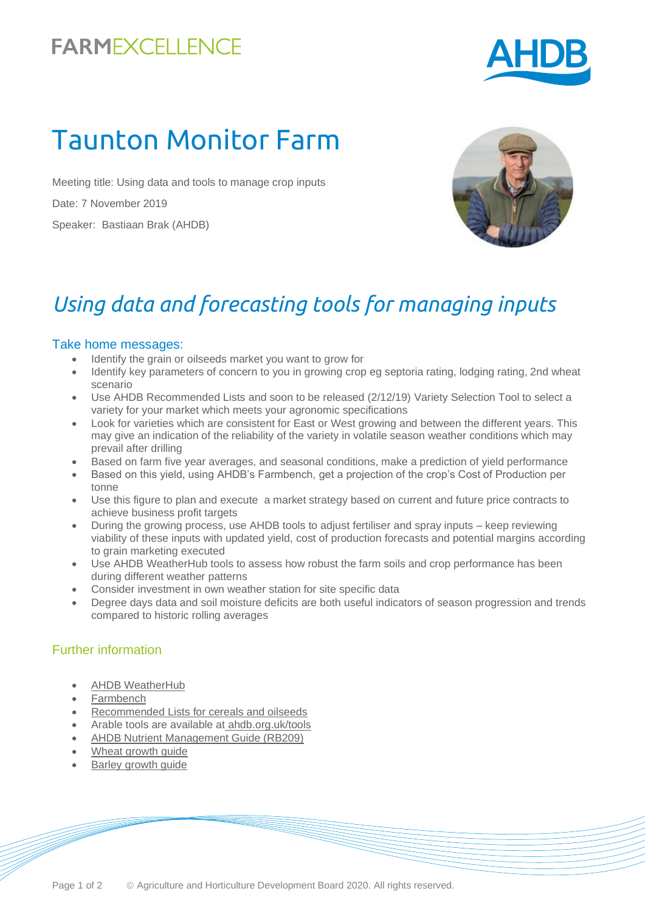## **FARMEXCELLENCE**



# Taunton Monitor Farm

Meeting title: Using data and tools to manage crop inputs Date: 7 November 2019 Speaker: Bastiaan Brak (AHDB)



## *Using data and forecasting tools for managing inputs*

#### Take home messages:

- Identify the grain or oilseeds market you want to grow for
- Identify key parameters of concern to you in growing crop eg septoria rating, lodging rating, 2nd wheat scenario
- Use AHDB Recommended Lists and soon to be released (2/12/19) Variety Selection Tool to select a variety for your market which meets your agronomic specifications
- Look for varieties which are consistent for East or West growing and between the different years. This may give an indication of the reliability of the variety in volatile season weather conditions which may prevail after drilling
- Based on farm five year averages, and seasonal conditions, make a prediction of yield performance
- Based on this yield, using AHDB's Farmbench, get a projection of the crop's Cost of Production per tonne
- Use this figure to plan and execute a market strategy based on current and future price contracts to achieve business profit targets
- During the growing process, use AHDB tools to adjust fertiliser and spray inputs keep reviewing viability of these inputs with updated yield, cost of production forecasts and potential margins according to grain marketing executed
- Use AHDB WeatherHub tools to assess how robust the farm soils and crop performance has been during different weather patterns
- Consider investment in own weather station for site specific data
- Degree days data and soil moisture deficits are both useful indicators of season progression and trends compared to historic rolling averages

#### Further information

- [AHDB WeatherHub](https://ahdb.org.uk/weatherhub)
- [Farmbench](https://farmbench.ahdb.org.uk/)
- [Recommended Lists for cereals and oilseeds](https://ahdb.org.uk/rl)
- Arable tools are available at [ahdb.org.uk/tools](https://ahdb.org.uk/tools)
- [AHDB Nutrient Management Guide \(RB209\)](https://ahdb.org.uk/rb209)
- [Wheat growth guide](https://ahdb.org.uk/wheatgg)
- [Barley growth guide](https://ahdb.org.uk/barleygg)